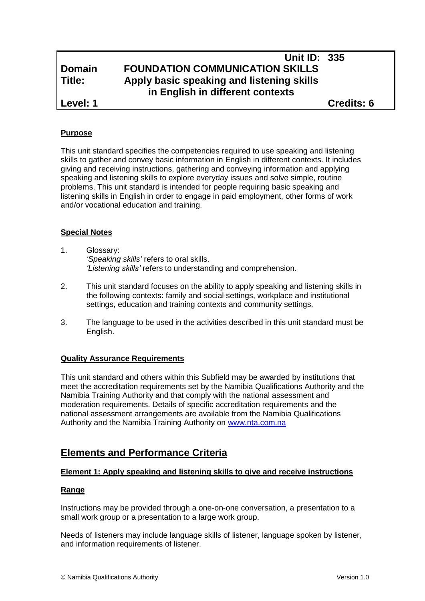# **Unit ID: 335 Domain FOUNDATION COMMUNICATION SKILLS Title: Apply basic speaking and listening skills in English in different contexts**

**Level: 1 Credits: 6**

# **Purpose**

This unit standard specifies the competencies required to use speaking and listening skills to gather and convey basic information in English in different contexts. It includes giving and receiving instructions, gathering and conveying information and applying speaking and listening skills to explore everyday issues and solve simple, routine problems. This unit standard is intended for people requiring basic speaking and listening skills in English in order to engage in paid employment, other forms of work and/or vocational education and training.

### **Special Notes**

- 1. Glossary: *'Speaking skills'* refers to oral skills. *'Listening skills'* refers to understanding and comprehension.
- 2. This unit standard focuses on the ability to apply speaking and listening skills in the following contexts: family and social settings, workplace and institutional settings, education and training contexts and community settings.
- 3. The language to be used in the activities described in this unit standard must be English.

# **Quality Assurance Requirements**

This unit standard and others within this Subfield may be awarded by institutions that meet the accreditation requirements set by the Namibia Qualifications Authority and the Namibia Training Authority and that comply with the national assessment and moderation requirements. Details of specific accreditation requirements and the national assessment arrangements are available from the Namibia Qualifications Authority and the Namibia Training Authority on [www.nta.com.na](http://www.nta.com.na/)

# **Elements and Performance Criteria**

# **Element 1: Apply speaking and listening skills to give and receive instructions**

#### **Range**

Instructions may be provided through a one-on-one conversation, a presentation to a small work group or a presentation to a large work group.

Needs of listeners may include language skills of listener, language spoken by listener, and information requirements of listener.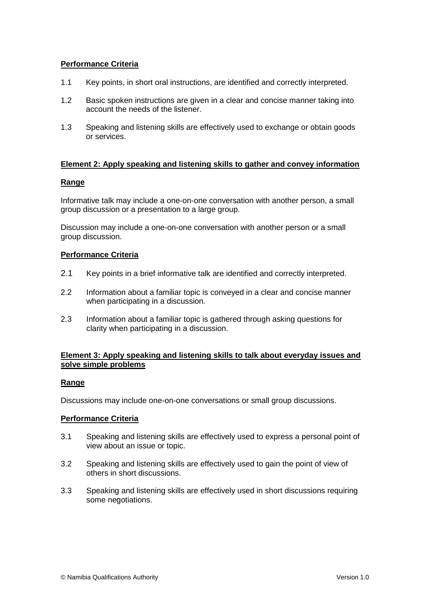### **Performance Criteria**

- 1.1 Key points, in short oral instructions, are identified and correctly interpreted.
- 1.2 Basic spoken instructions are given in a clear and concise manner taking into account the needs of the listener.
- 1.3 Speaking and listening skills are effectively used to exchange or obtain goods or services.

# **Element 2: Apply speaking and listening skills to gather and convey information**

#### **Range**

Informative talk may include a one-on-one conversation with another person, a small group discussion or a presentation to a large group.

Discussion may include a one-on-one conversation with another person or a small group discussion.

#### **Performance Criteria**

- 2.1 Key points in a brief informative talk are identified and correctly interpreted.
- 2.2 Information about a familiar topic is conveyed in a clear and concise manner when participating in a discussion.
- 2.3 Information about a familiar topic is gathered through asking questions for clarity when participating in a discussion.

#### **Element 3: Apply speaking and listening skills to talk about everyday issues and solve simple problems**

#### **Range**

Discussions may include one-on-one conversations or small group discussions.

#### **Performance Criteria**

- 3.1 Speaking and listening skills are effectively used to express a personal point of view about an issue or topic.
- 3.2 Speaking and listening skills are effectively used to gain the point of view of others in short discussions.
- 3.3 Speaking and listening skills are effectively used in short discussions requiring some negotiations.